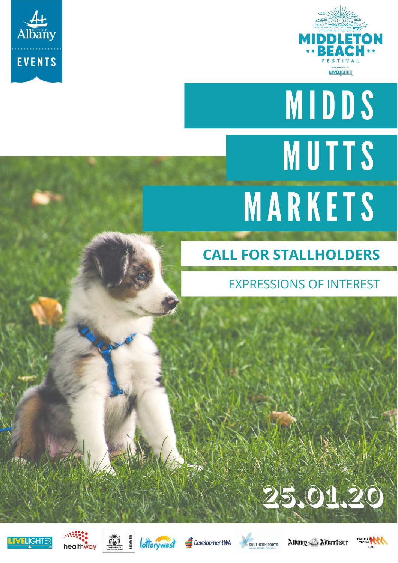



# **MIDDS** MUTTS MARKETS

# **CALL FOR STALLHOLDERS**

## **EXPRESSIONS OF INTEREST**















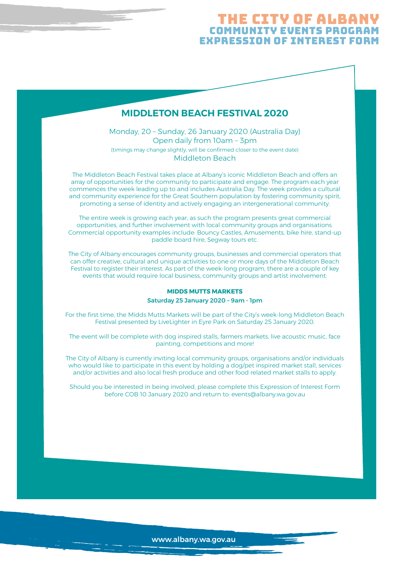#### THE CITY OF ALBA Community Events Program expression of interest form

#### **MIDDLETON BEACH FESTIVAL 2020**

Monday, 20 – Sunday, 26 January 2020 (Australia Day) Open daily from 10am – 3pm (timings may change slightly, will be confirmed closer to the event date) Middleton Beach

The Middleton Beach Festival takes place at Albany's iconic Middleton Beach and offers an array of opportunities for the community to participate and engage. The program each year commences the week leading up to and includes Australia Day. The week provides a cultural and community experience for the Great Southern population by fostering community spirit, promoting a sense of identity and actively engaging an intergenerational community.

The entire week is growing each year, as such the program presents great commercial opportunities, and further involvement with local community groups and organisations. Commercial opportunity examples include: Bouncy Castles, Amusements, bike hire, stand-up paddle board hire, Segway tours etc.

The City of Albany encourages community groups, businesses and commercial operators that can offer creative, cultural and unique activities to one or more days of the Middleton Beach Festival to register their interest. As part of the week-long program, there are a couple of key events that would require local business, community groups and artist involvement:

#### **MIDDS MUTTS MARKETS**

Saturday 25 January 2020 – 9am - 1pm

For the first time, the Midds Mutts Markets will be part of the City's week-long Middleton Beach Festival presented by LiveLighter in Eyre Park on Saturday 25 January 2020.

The event will be complete with dog inspired stalls, farmers markets, live acoustic music, face painting, competitions and more!

The City of Albany is currently inviting local community groups, organisations and/or individuals who would like to participate in this event by holding a dog/pet inspired market stall, services and/or activities and also local fresh produce and other food related market stalls to apply.

Should you be interested in being involved, please complete this Expression of Interest Form before COB 10 January 2020 and return to: events@albany.wa.gov.au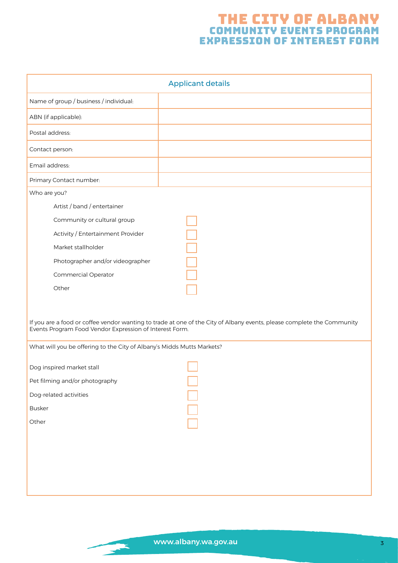## The City of albany Community Events Program expression of interest form

| <b>Applicant details</b>                                                                                                                                                          |  |
|-----------------------------------------------------------------------------------------------------------------------------------------------------------------------------------|--|
| Name of group / business / individual:                                                                                                                                            |  |
| ABN (if applicable):                                                                                                                                                              |  |
| Postal address:                                                                                                                                                                   |  |
| Contact person:                                                                                                                                                                   |  |
| Email address:                                                                                                                                                                    |  |
| Primary Contact number:                                                                                                                                                           |  |
| Who are you?                                                                                                                                                                      |  |
| Artist / band / entertainer                                                                                                                                                       |  |
| Community or cultural group                                                                                                                                                       |  |
| Activity / Entertainment Provider                                                                                                                                                 |  |
| Market stallholder                                                                                                                                                                |  |
| Photographer and/or videographer                                                                                                                                                  |  |
| Commercial Operator                                                                                                                                                               |  |
| Other                                                                                                                                                                             |  |
|                                                                                                                                                                                   |  |
| If you are a food or coffee vendor wanting to trade at one of the City of Albany events, please complete the Community<br>Events Program Food Vendor Expression of Interest Form. |  |
| What will you be offering to the City of Albany's Midds Mutts Markets?                                                                                                            |  |
| Dog inspired market stall                                                                                                                                                         |  |
| Pet filming and/or photography                                                                                                                                                    |  |
| Dog-related activities                                                                                                                                                            |  |
| <b>Busker</b>                                                                                                                                                                     |  |
| Other                                                                                                                                                                             |  |
|                                                                                                                                                                                   |  |
|                                                                                                                                                                                   |  |
|                                                                                                                                                                                   |  |
|                                                                                                                                                                                   |  |
|                                                                                                                                                                                   |  |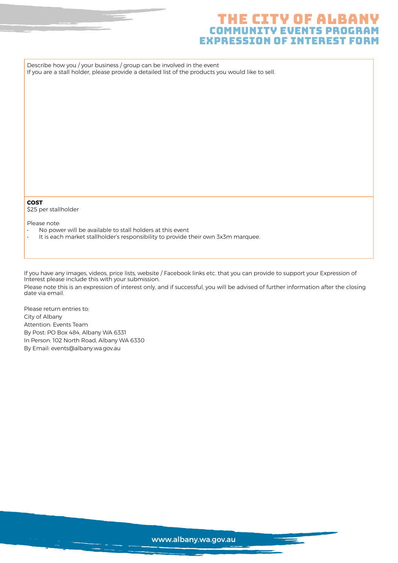#### THE CITY OF ALBA COMMUNITY EVENTS PROG expression of interest form

Describe how you / your business / group can be involved in the event If you are a stall holder, please provide a detailed list of the products you would like to sell.

#### **COST**

\$25 per stallholder

Please note:

- No power will be available to stall holders at this event
- It is each market stallholder's responsibility to provide their own 3x3m marquee.

If you have any images, videos, price lists, website / Facebook links etc. that you can provide to support your Expression of Interest please include this with your submission.

Please note this is an expression of interest only, and if successful, you will be advised of further information after the closing date via email.

Please return entries to: City of Albany Attention: Events Team By Post: PO Box 484, Albany WA 6331 In Person: 102 North Road, Albany WA 6330 By Email: events@albany.wa.gov.au